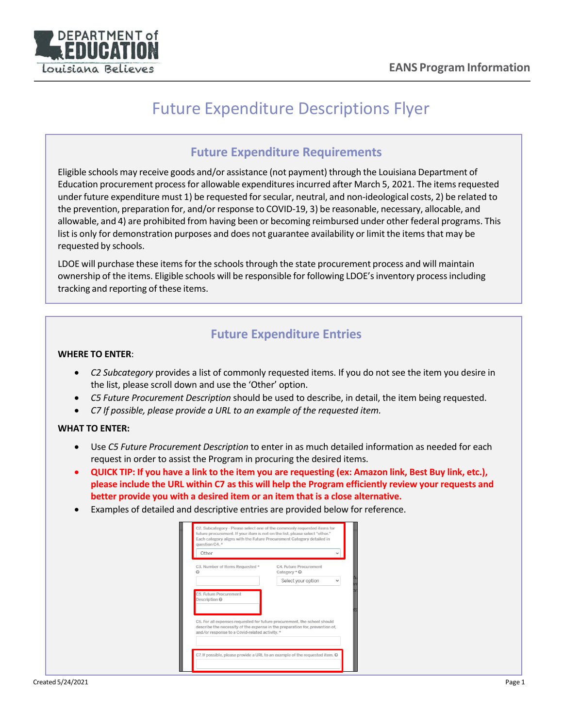

# Future Expenditure Descriptions Flyer

### **Future Expenditure Requirements**

Eligible schools may receive goods and/or assistance (not payment) through the Louisiana Department of Education procurement processfor allowable expendituresincurred after March 5, 2021. The itemsrequested under future expenditure must 1) be requested forsecular, neutral, and non-ideological costs, 2) be related to the prevention, preparation for, and/or response to COVID-19, 3) be reasonable, necessary, allocable, and allowable, and 4) are prohibited from having been or becoming reimbursed under other federal programs. This list is only for demonstration purposes and does not guarantee availability or limit the items that may be requested by schools.

LDOE will purchase these items for the schools through the state procurement process and will maintain ownership of the items. Eligible schools will be responsible for following LDOE's inventory process including tracking and reporting of these items.

## **Future Expenditure Entries**

#### **WHERE TO ENTER**:

- *C2 Subcategory* provides a list of commonly requested items. If you do not see the item you desire in the list, please scroll down and use the 'Other' option.
- *C5 Future Procurement Description* should be used to describe, in detail, the item being requested.
- *C7 If possible, please provide a URL to an example of the requested item.*

### **WHAT TO ENTER:**

- Use *C5 Future Procurement Description* to enter in as much detailed information as needed for each request in order to assist the Program in procuring the desired items.
- **QUICK TIP: If you have a link to the item you are requesting (ex: Amazon link, Best Buy link, etc.), please include the URL within C7 as this will help the Program efficiently review your requests and better provide you with a desired item or an item that is a close alternative.**
- Examples of detailed and descriptive entries are provided below for reference.

| Other                                                                                                                         |                                        |
|-------------------------------------------------------------------------------------------------------------------------------|----------------------------------------|
| C3. Number of Items Requested *<br>ค                                                                                          | C4. Future Procurement<br>Category * @ |
|                                                                                                                               | Select your option<br>$\checkmark$     |
| C5. Future Procurement<br>Description @<br>C6. For all expenses requested for future procurement, the school should           |                                        |
| describe the necessity of the expense in the preparation for, prevention of,<br>and/or response to a Covid-related activity.* |                                        |